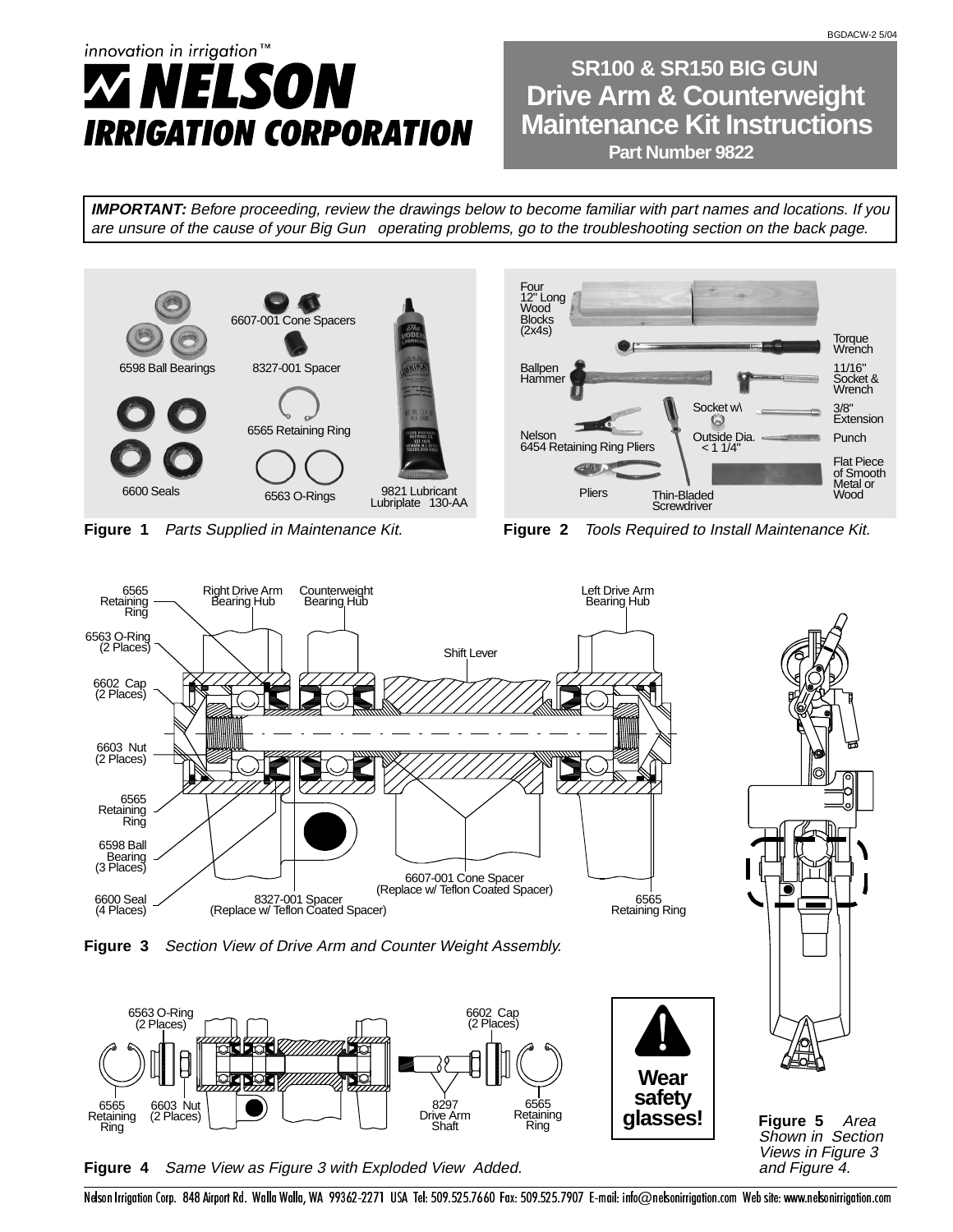# innovation in irrigation™ ELSON IRRIGATION CORPORATION

**Maintenance Kit Instructions Drive Arm & Counterweight SR100 & SR150 BIG GUN Part Number 9822** 

**IMPORTANT:** Before proceeding, review the drawings below to become familiar with part names and locations. If you are unsure of the cause of your Big Gun® operating problems, go to the troubleshooting section on the back page.





**Figure 1** Parts Supplied in Maintenance Kit. **Figure 2** Tools Required to Install Maintenance Kit.



**Figure 4** Same View as Figure 3 with Exploded View Added.

**Figure 5** Area Shown in Section Views in Figure 3 and Figure 4.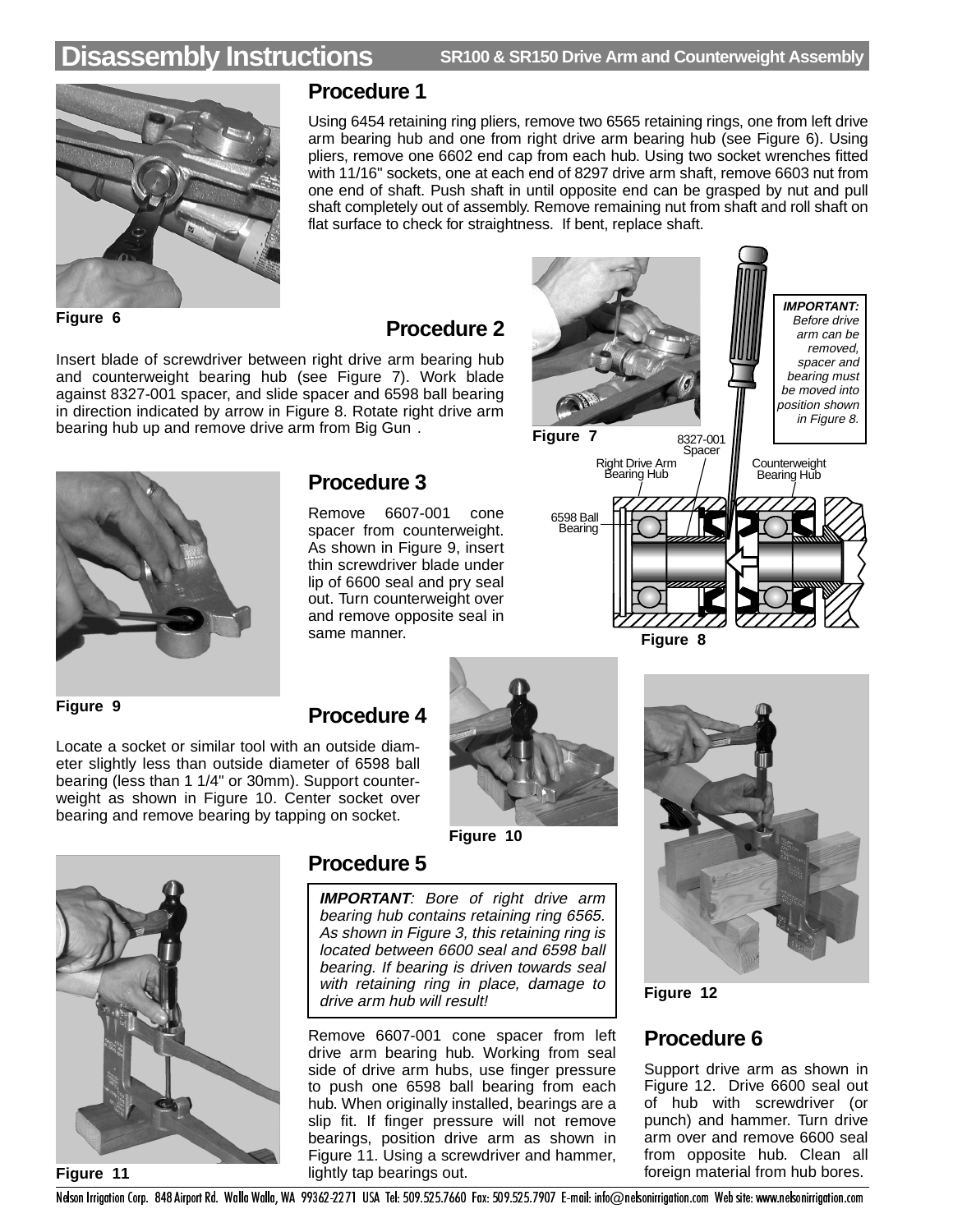# **Disassembly Instructions SR100 & SR150 Drive Arm and Counterweight Assembly**



#### **Procedure 1**

Using 6454 retaining ring pliers, remove two 6565 retaining rings, one from left drive arm bearing hub and one from right drive arm bearing hub (see Figure 6). Using pliers, remove one 6602 end cap from each hub. Using two socket wrenches fitted with 11/16" sockets, one at each end of 8297 drive arm shaft, remove 6603 nut from one end of shaft. Push shaft in until opposite end can be grasped by nut and pull shaft completely out of assembly. Remove remaining nut from shaft and roll shaft on flat surface to check for straightness. If bent, replace shaft.

### **Procedure 2**

Insert blade of screwdriver between right drive arm bearing hub and counterweight bearing hub (see Figure 7). Work blade against 8327-001 spacer, and slide spacer and 6598 ball bearing in direction indicated by arrow in Figure 8. Rotate right drive arm bearing hub up and remove drive arm from Big Gun®.



Locate a socket or similar tool with an outside diameter slightly less than outside diameter of 6598 ball bearing (less than 1 1/4" or 30mm). Support counterweight as shown in Figure 10. Center socket over bearing and remove bearing by tapping on socket.

#### **Figure 9**

### Remove 6607-001 cone

**Procedure 3**

spacer from counterweight. As shown in Figure 9, insert thin screwdriver blade under lip of 6600 seal and pry seal out. Turn counterweight over and remove opposite seal in same manner.



**Figure 8**

### **Procedure 4**





### **Procedure 5**

**IMPORTANT**: Bore of right drive arm bearing hub contains retaining ring 6565. As shown in Figure 3, this retaining ring is located between 6600 seal and 6598 ball bearing. If bearing is driven towards seal with retaining ring in place, damage to drive arm hub will result!

Remove 6607-001 cone spacer from left drive arm bearing hub. Working from seal side of drive arm hubs, use finger pressure to push one 6598 ball bearing from each hub. When originally installed, bearings are a slip fit. If finger pressure will not remove bearings, position drive arm as shown in Figure 11. Using a screwdriver and hammer, lightly tap bearings out.



**Figure 12**

## **Procedure 6**

Support drive arm as shown in Figure 12. Drive 6600 seal out of hub with screwdriver (or punch) and hammer. Turn drive arm over and remove 6600 seal from opposite hub. Clean all foreign material from hub bores.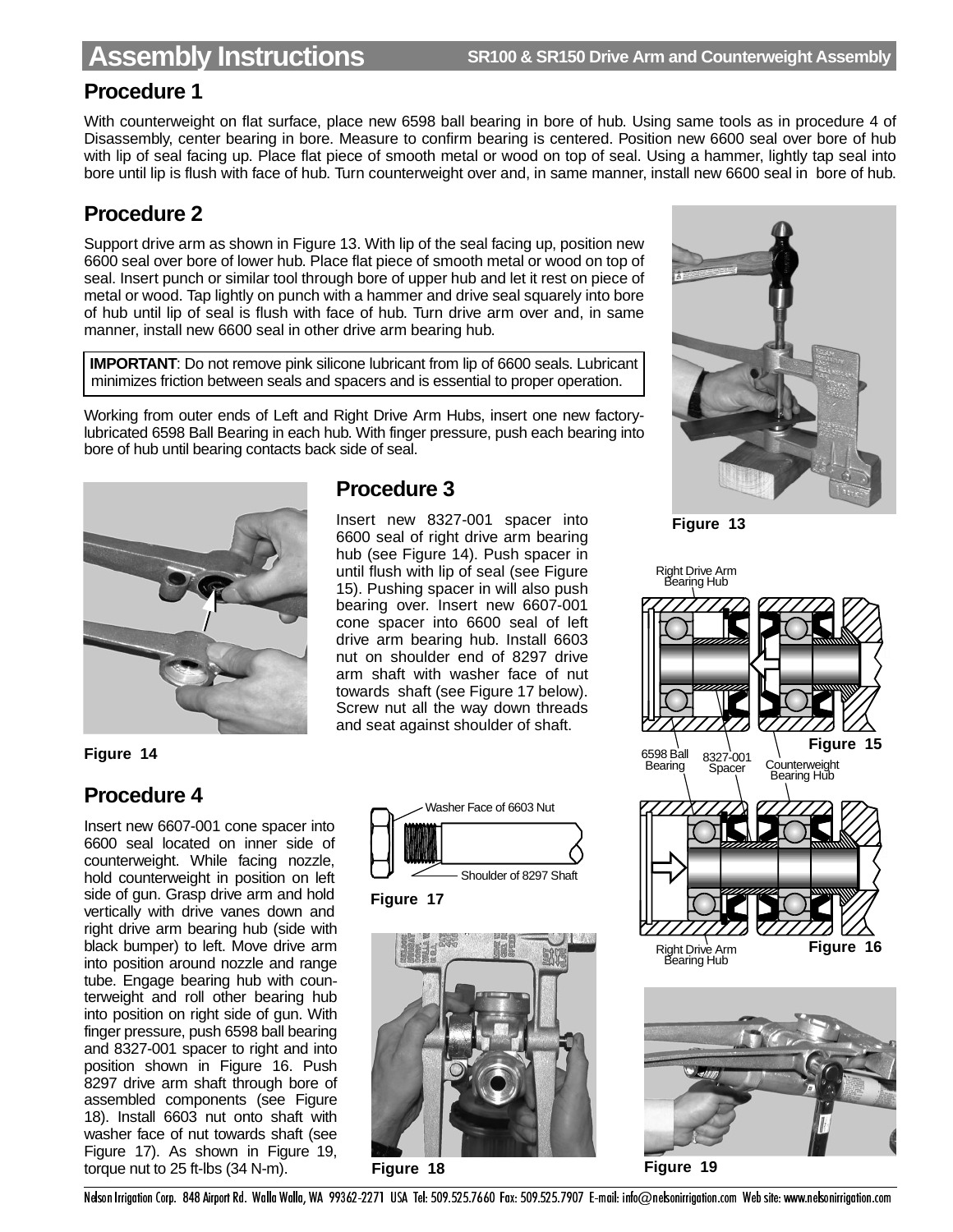### **Procedure 1**

With counterweight on flat surface, place new 6598 ball bearing in bore of hub. Using same tools as in procedure 4 of Disassembly, center bearing in bore. Measure to confirm bearing is centered. Position new 6600 seal over bore of hub with lip of seal facing up. Place flat piece of smooth metal or wood on top of seal. Using a hammer, lightly tap seal into bore until lip is flush with face of hub. Turn counterweight over and, in same manner, install new 6600 seal in bore of hub.

### **Procedure 2**

Support drive arm as shown in Figure 13. With lip of the seal facing up, position new 6600 seal over bore of lower hub. Place flat piece of smooth metal or wood on top of seal. Insert punch or similar tool through bore of upper hub and let it rest on piece of metal or wood. Tap lightly on punch with a hammer and drive seal squarely into bore of hub until lip of seal is flush with face of hub. Turn drive arm over and, in same manner, install new 6600 seal in other drive arm bearing hub.

**IMPORTANT:** Do not remove pink silicone lubricant from lip of 6600 seals. Lubricant minimizes friction between seals and spacers and is essential to proper operation.

Working from outer ends of Left and Right Drive Arm Hubs, insert one new factorylubricated 6598 Ball Bearing in each hub. With finger pressure, push each bearing into bore of hub until bearing contacts back side of seal.



#### **Figure 14**

### **Procedure 4**

Insert new 6607-001 cone spacer into 6600 seal located on inner side of counterweight. While facing nozzle, hold counterweight in position on left side of gun. Grasp drive arm and hold vertically with drive vanes down and right drive arm bearing hub (side with black bumper) to left. Move drive arm into position around nozzle and range tube. Engage bearing hub with counterweight and roll other bearing hub into position on right side of gun. With finger pressure, push 6598 ball bearing and 8327-001 spacer to right and into position shown in Figure 16. Push 8297 drive arm shaft through bore of assembled components (see Figure 18). Install 6603 nut onto shaft with washer face of nut towards shaft (see Figure 17). As shown in Figure 19, torque nut to 25 ft-lbs (34 N-m).



Insert new 8327-001 spacer into 6600 seal of right drive arm bearing hub (see Figure 14). Push spacer in until flush with lip of seal (see Figure 15). Pushing spacer in will also push bearing over. Insert new 6607-001 cone spacer into 6600 seal of left drive arm bearing hub. Install 6603 nut on shoulder end of 8297 drive arm shaft with washer face of nut towards shaft (see Figure 17 below). Screw nut all the way down threads and seat against shoulder of shaft.



**Figure 17**



**Figure 18**



**Figure 13**



**Figure 19**